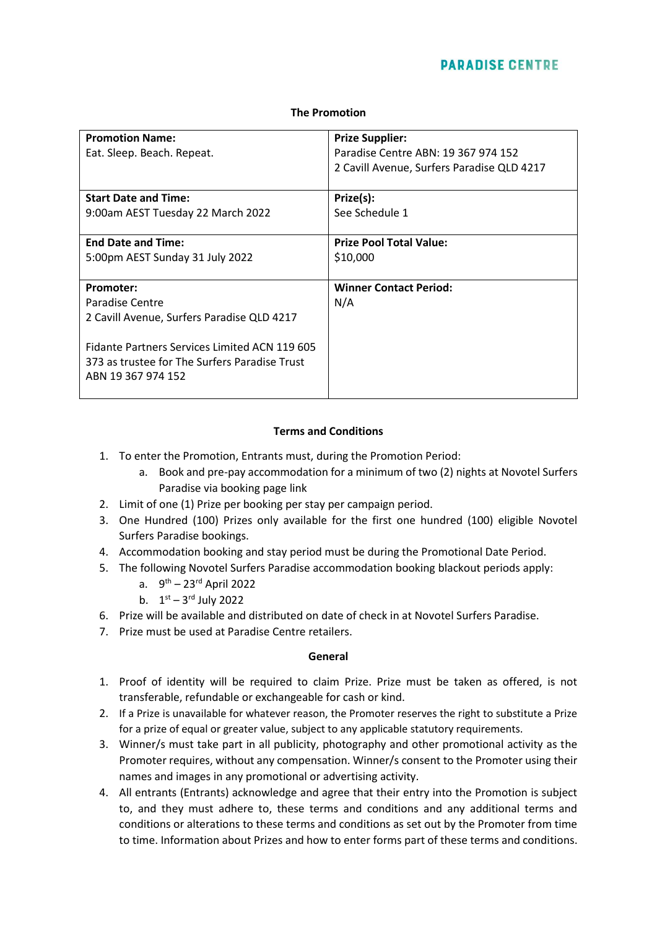# **PARADISE CENTRE**

#### **The Promotion**

| <b>Promotion Name:</b><br>Eat. Sleep. Beach. Repeat.                                                                                                                                            | <b>Prize Supplier:</b><br>Paradise Centre ABN: 19 367 974 152<br>2 Cavill Avenue, Surfers Paradise QLD 4217 |  |
|-------------------------------------------------------------------------------------------------------------------------------------------------------------------------------------------------|-------------------------------------------------------------------------------------------------------------|--|
| <b>Start Date and Time:</b>                                                                                                                                                                     | Prize(s):                                                                                                   |  |
| 9:00am AEST Tuesday 22 March 2022                                                                                                                                                               | See Schedule 1                                                                                              |  |
| <b>End Date and Time:</b>                                                                                                                                                                       | <b>Prize Pool Total Value:</b>                                                                              |  |
| 5:00pm AEST Sunday 31 July 2022                                                                                                                                                                 | \$10,000                                                                                                    |  |
| Promoter:<br>Paradise Centre<br>2 Cavill Avenue, Surfers Paradise QLD 4217<br>Fidante Partners Services Limited ACN 119 605<br>373 as trustee for The Surfers Paradise Trust<br>ABN 19367974152 | <b>Winner Contact Period:</b><br>N/A                                                                        |  |

### **Terms and Conditions**

- 1. To enter the Promotion, Entrants must, during the Promotion Period:
	- a. Book and pre-pay accommodation for a minimum of two (2) nights at Novotel Surfers Paradise via booking page link
- 2. Limit of one (1) Prize per booking per stay per campaign period.
- 3. One Hundred (100) Prizes only available for the first one hundred (100) eligible Novotel Surfers Paradise bookings.
- 4. Accommodation booking and stay period must be during the Promotional Date Period.
- 5. The following Novotel Surfers Paradise accommodation booking blackout periods apply:
	- a. 9<sup>th</sup> 23<sup>rd</sup> April 2022
	- b.  $1^{st} 3^{rd}$  July 2022
- 6. Prize will be available and distributed on date of check in at Novotel Surfers Paradise.
- 7. Prize must be used at Paradise Centre retailers.

#### **General**

- 1. Proof of identity will be required to claim Prize. Prize must be taken as offered, is not transferable, refundable or exchangeable for cash or kind.
- 2. If a Prize is unavailable for whatever reason, the Promoter reserves the right to substitute a Prize for a prize of equal or greater value, subject to any applicable statutory requirements.
- 3. Winner/s must take part in all publicity, photography and other promotional activity as the Promoter requires, without any compensation. Winner/s consent to the Promoter using their names and images in any promotional or advertising activity.
- 4. All entrants (Entrants) acknowledge and agree that their entry into the Promotion is subject to, and they must adhere to, these terms and conditions and any additional terms and conditions or alterations to these terms and conditions as set out by the Promoter from time to time. Information about Prizes and how to enter forms part of these terms and conditions.